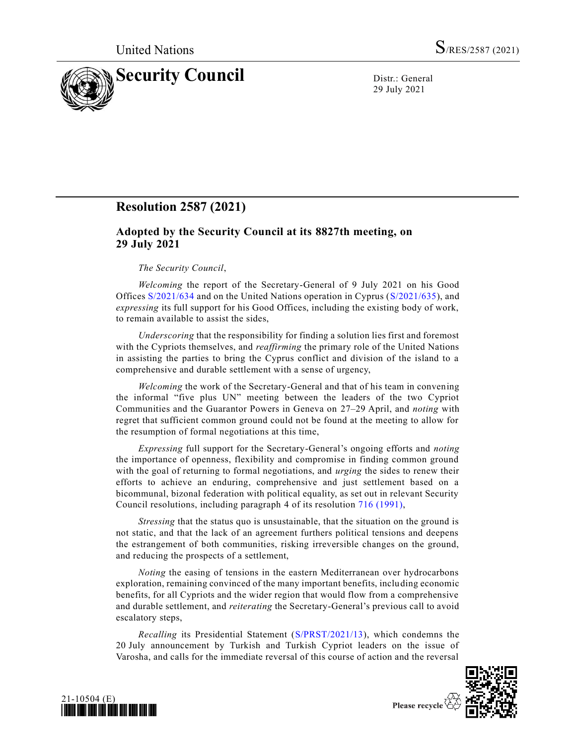

29 July 2021

## **Resolution 2587 (2021)**

## **Adopted by the Security Council at its 8827th meeting, on 29 July 2021**

## *The Security Council*,

*Welcoming* the report of the Secretary-General of 9 July 2021 on his Good Offices [S/2021/634](https://undocs.org/en/S/2021/634) and on the United Nations operation in Cyprus [\(S/2021/635\)](https://undocs.org/en/S/2021/635), and *expressing* its full support for his Good Offices, including the existing body of work, to remain available to assist the sides,

*Underscoring* that the responsibility for finding a solution lies first and foremost with the Cypriots themselves, and *reaffirming* the primary role of the United Nations in assisting the parties to bring the Cyprus conflict and division of the island to a comprehensive and durable settlement with a sense of urgency,

*Welcoming* the work of the Secretary-General and that of his team in convening the informal "five plus UN" meeting between the leaders of the two Cypriot Communities and the Guarantor Powers in Geneva on 27–29 April, and *noting* with regret that sufficient common ground could not be found at the meeting to allow for the resumption of formal negotiations at this time,

*Expressing* full support for the Secretary-General's ongoing efforts and *noting* the importance of openness, flexibility and compromise in finding common ground with the goal of returning to formal negotiations, and *urging* the sides to renew their efforts to achieve an enduring, comprehensive and just settlement based on a bicommunal, bizonal federation with political equality, as set out in relevant Security Council resolutions, including paragraph 4 of its resolution [716 \(1991\),](https://undocs.org/en/S/RES/716(1991))

*Stressing* that the status quo is unsustainable, that the situation on the ground is not static, and that the lack of an agreement furthers political tensions and deepens the estrangement of both communities, risking irreversible changes on the ground, and reducing the prospects of a settlement,

*Noting* the easing of tensions in the eastern Mediterranean over hydrocarbons exploration, remaining convinced of the many important benefits, including economic benefits, for all Cypriots and the wider region that would flow from a comprehensive and durable settlement, and *reiterating* the Secretary-General's previous call to avoid escalatory steps,

*Recalling* its Presidential Statement [\(S/PRST/2021/13\)](https://undocs.org/en/S/PRST/2021/13), which condemns the 20 July announcement by Turkish and Turkish Cypriot leaders on the issue of Varosha, and calls for the immediate reversal of this course of action and the reversal





Please recycle  $\overline{\mathfrak{C}}$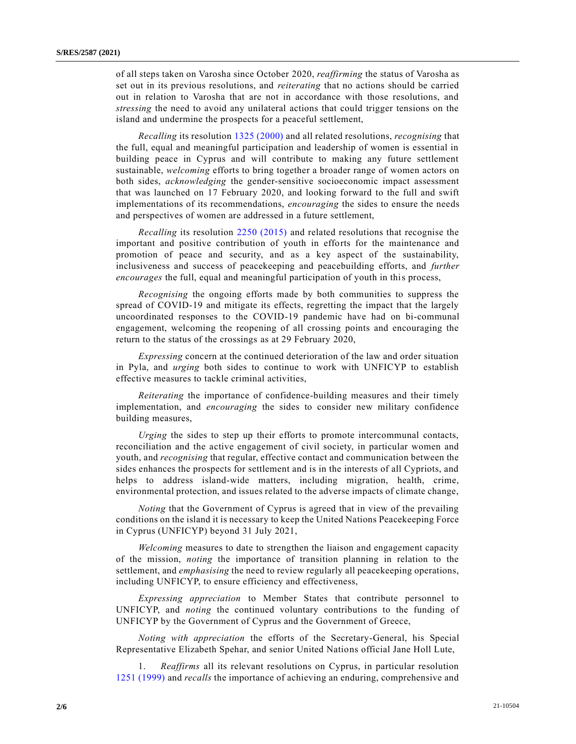of all steps taken on Varosha since October 2020, *reaffirming* the status of Varosha as set out in its previous resolutions, and *reiterating* that no actions should be carried out in relation to Varosha that are not in accordance with those resolutions, and *stressing* the need to avoid any unilateral actions that could trigger tensions on the island and undermine the prospects for a peaceful settlement,

*Recalling* its resolution [1325 \(2000\)](https://undocs.org/en/S/RES/1325(2000)) and all related resolutions, *recognising* that the full, equal and meaningful participation and leadership of women is essential in building peace in Cyprus and will contribute to making any future settlement sustainable, *welcoming* efforts to bring together a broader range of women actors on both sides, *acknowledging* the gender-sensitive socioeconomic impact assessment that was launched on 17 February 2020, and looking forward to the full and swift implementations of its recommendations, *encouraging* the sides to ensure the needs and perspectives of women are addressed in a future settlement,

*Recalling* its resolution [2250 \(2015\)](https://undocs.org/en/S/RES/2250(2015)) and related resolutions that recognise the important and positive contribution of youth in efforts for the maintenance and promotion of peace and security, and as a key aspect of the sustainability, inclusiveness and success of peacekeeping and peacebuilding efforts, and *further encourages* the full, equal and meaningful participation of youth in this process,

*Recognising* the ongoing efforts made by both communities to suppress the spread of COVID-19 and mitigate its effects, regretting the impact that the largely uncoordinated responses to the COVID-19 pandemic have had on bi-communal engagement, welcoming the reopening of all crossing points and encouraging the return to the status of the crossings as at 29 February 2020,

*Expressing* concern at the continued deterioration of the law and order situation in Pyla, and *urging* both sides to continue to work with UNFICYP to establish effective measures to tackle criminal activities,

*Reiterating* the importance of confidence-building measures and their timely implementation, and *encouraging* the sides to consider new military confidence building measures,

*Urging* the sides to step up their efforts to promote intercommunal contacts, reconciliation and the active engagement of civil society, in particular women and youth, and *recognising* that regular, effective contact and communication between the sides enhances the prospects for settlement and is in the interests of all Cypriots, and helps to address island-wide matters, including migration, health, crime, environmental protection, and issues related to the adverse impacts of climate change,

*Noting* that the Government of Cyprus is agreed that in view of the prevailing conditions on the island it is necessary to keep the United Nations Peacekeeping Force in Cyprus (UNFICYP) beyond 31 July 2021,

*Welcoming* measures to date to strengthen the liaison and engagement capacity of the mission, *noting* the importance of transition planning in relation to the settlement, and *emphasising* the need to review regularly all peacekeeping operations, including UNFICYP, to ensure efficiency and effectiveness,

*Expressing appreciation* to Member States that contribute personnel to UNFICYP, and *noting* the continued voluntary contributions to the funding of UNFICYP by the Government of Cyprus and the Government of Greece,

*Noting with appreciation* the efforts of the Secretary-General, his Special Representative Elizabeth Spehar, and senior United Nations official Jane Holl Lute,

1. *Reaffirms* all its relevant resolutions on Cyprus, in particular resolution [1251 \(1999\)](https://undocs.org/en/S/RES/1251(1999)) and *recalls* the importance of achieving an enduring, comprehensive and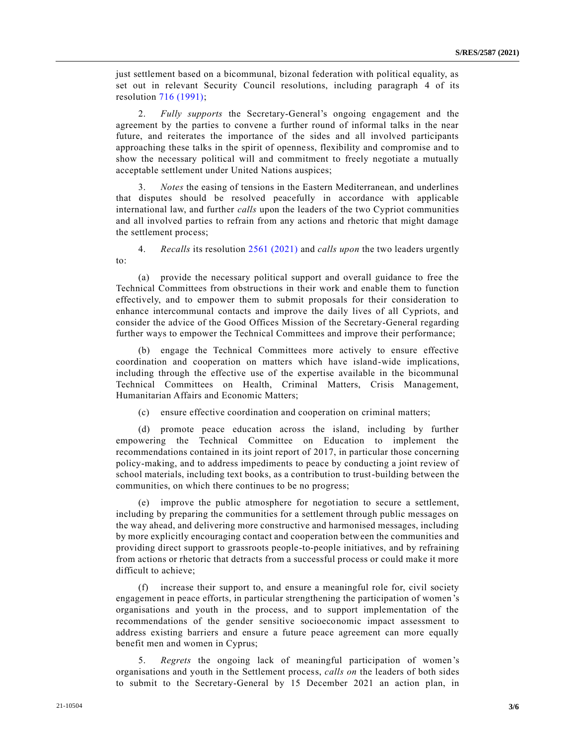just settlement based on a bicommunal, bizonal federation with political equality, as set out in relevant Security Council resolutions, including paragraph 4 of its resolution [716 \(1991\);](https://undocs.org/en/S/RES/716(1991))

2. *Fully supports* the Secretary-General's ongoing engagement and the agreement by the parties to convene a further round of informal talks in the near future, and reiterates the importance of the sides and all involved participants approaching these talks in the spirit of openness, flexibility and compromise and to show the necessary political will and commitment to freely negotiate a mutually acceptable settlement under United Nations auspices;

3. *Notes* the easing of tensions in the Eastern Mediterranean, and underlines that disputes should be resolved peacefully in accordance with applicable international law, and further *calls* upon the leaders of the two Cypriot communities and all involved parties to refrain from any actions and rhetoric that might damage the settlement process;

4. *Recalls* its resolution [2561 \(2021\)](https://undocs.org/en/S/RES/2561(2021)) and *calls upon* the two leaders urgently to:

(a) provide the necessary political support and overall guidance to free the Technical Committees from obstructions in their work and enable them to function effectively, and to empower them to submit proposals for their consideration to enhance intercommunal contacts and improve the daily lives of all Cypriots, and consider the advice of the Good Offices Mission of the Secretary-General regarding further ways to empower the Technical Committees and improve their performance;

(b) engage the Technical Committees more actively to ensure effective coordination and cooperation on matters which have island-wide implications, including through the effective use of the expertise available in the bicommunal Technical Committees on Health, Criminal Matters, Crisis Management, Humanitarian Affairs and Economic Matters;

(c) ensure effective coordination and cooperation on criminal matters;

(d) promote peace education across the island, including by further empowering the Technical Committee on Education to implement the recommendations contained in its joint report of 2017, in particular those concerning policy-making, and to address impediments to peace by conducting a joint review of school materials, including text books, as a contribution to trust-building between the communities, on which there continues to be no progress;

improve the public atmosphere for negotiation to secure a settlement, including by preparing the communities for a settlement through public messages on the way ahead, and delivering more constructive and harmonised messages, including by more explicitly encouraging contact and cooperation between the communities and providing direct support to grassroots people-to-people initiatives, and by refraining from actions or rhetoric that detracts from a successful process or could make it more difficult to achieve;

(f) increase their support to, and ensure a meaningful role for, civil society engagement in peace efforts, in particular strengthening the participation of women 's organisations and youth in the process, and to support implementation of the recommendations of the gender sensitive socioeconomic impact assessment to address existing barriers and ensure a future peace agreement can more equally benefit men and women in Cyprus;

5. *Regrets* the ongoing lack of meaningful participation of women's organisations and youth in the Settlement process, *calls on* the leaders of both sides to submit to the Secretary-General by 15 December 2021 an action plan, in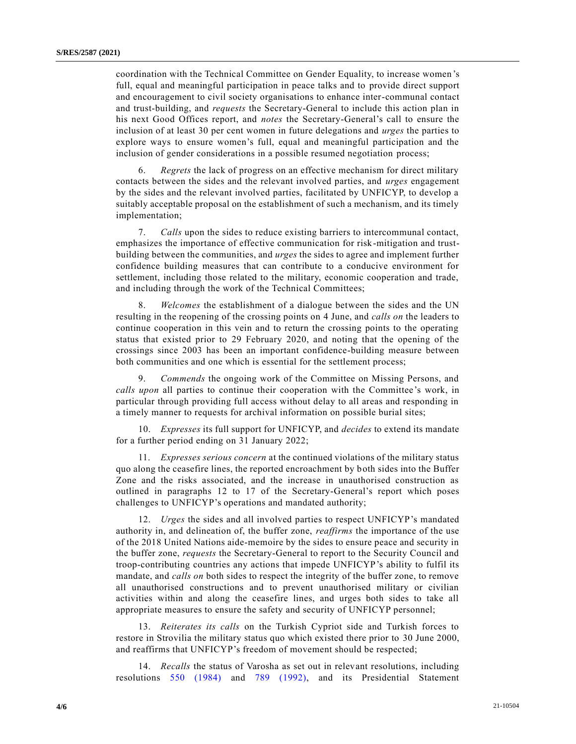coordination with the Technical Committee on Gender Equality, to increase women 's full, equal and meaningful participation in peace talks and to provide direct support and encouragement to civil society organisations to enhance inter-communal contact and trust-building, and *requests* the Secretary-General to include this action plan in his next Good Offices report, and *notes* the Secretary-General's call to ensure the inclusion of at least 30 per cent women in future delegations and *urges* the parties to explore ways to ensure women's full, equal and meaningful participation and the inclusion of gender considerations in a possible resumed negotiation process;

6. *Regrets* the lack of progress on an effective mechanism for direct military contacts between the sides and the relevant involved parties, and *urges* engagement by the sides and the relevant involved parties, facilitated by UNFICYP, to develop a suitably acceptable proposal on the establishment of such a mechanism, and its timely implementation;

7. *Calls* upon the sides to reduce existing barriers to intercommunal contact, emphasizes the importance of effective communication for risk-mitigation and trustbuilding between the communities, and *urges* the sides to agree and implement further confidence building measures that can contribute to a conducive environment for settlement, including those related to the military, economic cooperation and trade, and including through the work of the Technical Committees;

8. *Welcomes* the establishment of a dialogue between the sides and the UN resulting in the reopening of the crossing points on 4 June, and *calls on* the leaders to continue cooperation in this vein and to return the crossing points to the operating status that existed prior to 29 February 2020, and noting that the opening of the crossings since 2003 has been an important confidence-building measure between both communities and one which is essential for the settlement process;

9. *Commends* the ongoing work of the Committee on Missing Persons, and *calls upon* all parties to continue their cooperation with the Committee's work, in particular through providing full access without delay to all areas and responding in a timely manner to requests for archival information on possible burial sites;

10. *Expresses* its full support for UNFICYP, and *decides* to extend its mandate for a further period ending on 31 January 2022;

11. *Expresses serious concern* at the continued violations of the military status quo along the ceasefire lines, the reported encroachment by both sides into the Buffer Zone and the risks associated, and the increase in unauthorised construction as outlined in paragraphs 12 to 17 of the Secretary-General's report which poses challenges to UNFICYP's operations and mandated authority;

12. *Urges* the sides and all involved parties to respect UNFICYP's mandated authority in, and delineation of, the buffer zone, *reaffirms* the importance of the use of the 2018 United Nations aide-memoire by the sides to ensure peace and security in the buffer zone, *requests* the Secretary-General to report to the Security Council and troop-contributing countries any actions that impede UNFICYP's ability to fulfil its mandate, and *calls on* both sides to respect the integrity of the buffer zone, to remove all unauthorised constructions and to prevent unauthorised military or civilian activities within and along the ceasefire lines, and urges both sides to take all appropriate measures to ensure the safety and security of UNFICYP personnel;

13. *Reiterates its calls* on the Turkish Cypriot side and Turkish forces to restore in Strovilia the military status quo which existed there prior to 30 June 2000, and reaffirms that UNFICYP's freedom of movement should be respected;

14. *Recalls* the status of Varosha as set out in relevant resolutions, including resolutions [550 \(1984\)](https://undocs.org/en/S/RES/550(1984)) and [789 \(1992\),](https://undocs.org/en/S/RES/789(1992)) and its Presidential Statement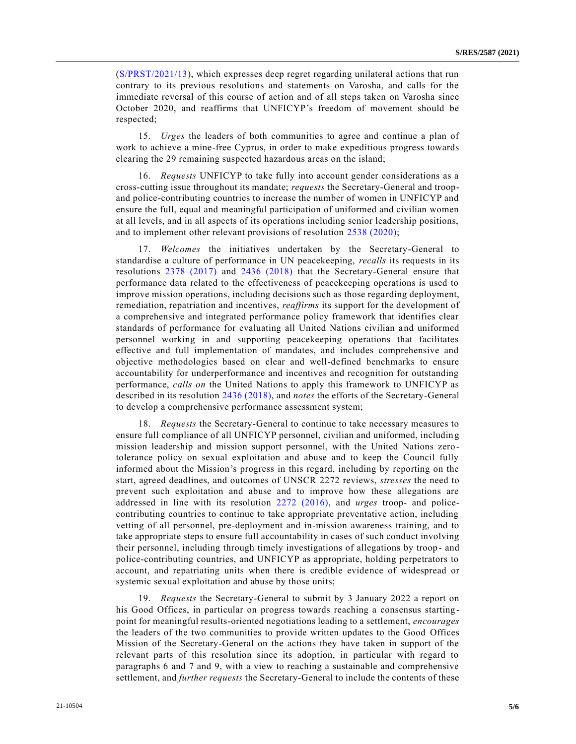[\(S/PRST/2021/13\)](https://undocs.org/en/S/PRST/2021/13), which expresses deep regret regarding unilateral actions that run contrary to its previous resolutions and statements on Varosha, and calls for the immediate reversal of this course of action and of all steps taken on Varosha since October 2020, and reaffirms that UNFICYP's freedom of movement should be respected;

15. *Urges* the leaders of both communities to agree and continue a plan of work to achieve a mine-free Cyprus, in order to make expeditious progress towards clearing the 29 remaining suspected hazardous areas on the island;

16. *Requests* UNFICYP to take fully into account gender considerations as a cross-cutting issue throughout its mandate; *requests* the Secretary-General and troopand police-contributing countries to increase the number of women in UNFICYP and ensure the full, equal and meaningful participation of uniformed and civilian women at all levels, and in all aspects of its operations including senior leadership positions, and to implement other relevant provisions of resolution [2538 \(2020\);](https://undocs.org/en/S/RES/2538(2020))

17. *Welcomes* the initiatives undertaken by the Secretary-General to standardise a culture of performance in UN peacekeeping, *recalls* its requests in its resolutions [2378 \(2017\)](https://undocs.org/en/S/RES/2378(2017)) and [2436 \(2018\)](https://undocs.org/en/S/RES/2436(2018)) that the Secretary-General ensure that performance data related to the effectiveness of peacekeeping operations is used to improve mission operations, including decisions such as those regarding deployment, remediation, repatriation and incentives, *reaffirms* its support for the development of a comprehensive and integrated performance policy framework that identifies clear standards of performance for evaluating all United Nations civilian and uniformed personnel working in and supporting peacekeeping operations that facilitates effective and full implementation of mandates, and includes comprehensive and objective methodologies based on clear and well-defined benchmarks to ensure accountability for underperformance and incentives and recognition for outstanding performance, *calls on* the United Nations to apply this framework to UNFICYP as described in its resolution [2436 \(2018\),](https://undocs.org/en/S/RES/2436(2018)) and *notes* the efforts of the Secretary-General to develop a comprehensive performance assessment system;

18. *Requests* the Secretary-General to continue to take necessary measures to ensure full compliance of all UNFICYP personnel, civilian and uniformed, includin g mission leadership and mission support personnel, with the United Nations zerotolerance policy on sexual exploitation and abuse and to keep the Council fully informed about the Mission's progress in this regard, including by reporting on the start, agreed deadlines, and outcomes of UNSCR 2272 reviews, *stresses* the need to prevent such exploitation and abuse and to improve how these allegations are addressed in line with its resolution [2272 \(2016\),](https://undocs.org/en/S/RES/2272(2016)) and *urges* troop- and policecontributing countries to continue to take appropriate preventative action, including vetting of all personnel, pre-deployment and in-mission awareness training, and to take appropriate steps to ensure full accountability in cases of such conduct involving their personnel, including through timely investigations of allegations by troop - and police-contributing countries, and UNFICYP as appropriate, holding perpetrators to account, and repatriating units when there is credible evidence of widespread or systemic sexual exploitation and abuse by those units;

19. *Requests* the Secretary-General to submit by 3 January 2022 a report on his Good Offices, in particular on progress towards reaching a consensus starting point for meaningful results-oriented negotiations leading to a settlement, *encourages* the leaders of the two communities to provide written updates to the Good Offices Mission of the Secretary-General on the actions they have taken in support of the relevant parts of this resolution since its adoption, in particular with regard to paragraphs 6 and 7 and 9, with a view to reaching a sustainable and comprehensive settlement, and *further requests* the Secretary-General to include the contents of these